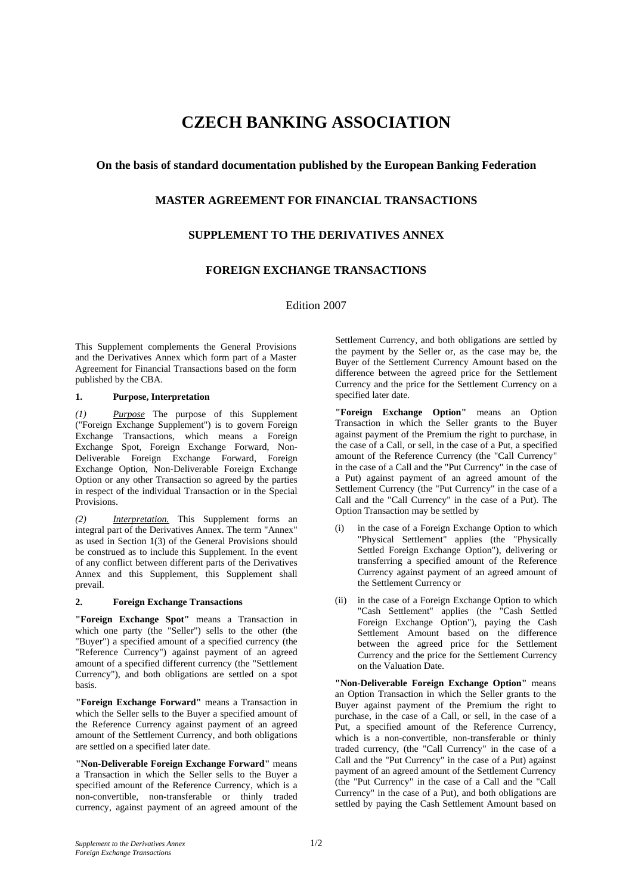# **CZECH BANKING ASSOCIATION**

## **On the basis of standard documentation published by the European Banking Federation**

## **MASTER AGREEMENT FOR FINANCIAL TRANSACTIONS**

## **SUPPLEMENT TO THE DERIVATIVES ANNEX**

## **FOREIGN EXCHANGE TRANSACTIONS**

Edition 2007

This Supplement complements the General Provisions and the Derivatives Annex which form part of a Master Agreement for Financial Transactions based on the form published by the CBA.

#### **1. Purpose, Interpretation**

*(1) Purpose* The purpose of this Supplement ("Foreign Exchange Supplement") is to govern Foreign Exchange Transactions, which means a Foreign Exchange Spot, Foreign Exchange Forward, Non-Deliverable Foreign Exchange Forward, Foreign Exchange Option, Non-Deliverable Foreign Exchange Option or any other Transaction so agreed by the parties in respect of the individual Transaction or in the Special Provisions.

*(2) Interpretation.* This Supplement forms an integral part of the Derivatives Annex. The term "Annex" as used in Section 1(3) of the General Provisions should be construed as to include this Supplement. In the event of any conflict between different parts of the Derivatives Annex and this Supplement, this Supplement shall prevail.

## **2. Foreign Exchange Transactions**

**"Foreign Exchange Spot"** means a Transaction in which one party (the "Seller") sells to the other (the "Buyer") a specified amount of a specified currency (the "Reference Currency") against payment of an agreed amount of a specified different currency (the "Settlement Currency"), and both obligations are settled on a spot basis.

**"Foreign Exchange Forward"** means a Transaction in which the Seller sells to the Buyer a specified amount of the Reference Currency against payment of an agreed amount of the Settlement Currency, and both obligations are settled on a specified later date.

**"Non-Deliverable Foreign Exchange Forward"** means a Transaction in which the Seller sells to the Buyer a specified amount of the Reference Currency, which is a non-convertible, non-transferable or thinly traded currency, against payment of an agreed amount of the Settlement Currency, and both obligations are settled by the payment by the Seller or, as the case may be, the Buyer of the Settlement Currency Amount based on the difference between the agreed price for the Settlement Currency and the price for the Settlement Currency on a specified later date.

**"Foreign Exchange Option"** means an Option Transaction in which the Seller grants to the Buyer against payment of the Premium the right to purchase, in the case of a Call, or sell, in the case of a Put, a specified amount of the Reference Currency (the "Call Currency" in the case of a Call and the "Put Currency" in the case of a Put) against payment of an agreed amount of the Settlement Currency (the "Put Currency" in the case of a Call and the "Call Currency" in the case of a Put). The Option Transaction may be settled by

- (i) in the case of a Foreign Exchange Option to which "Physical Settlement" applies (the "Physically Settled Foreign Exchange Option"), delivering or transferring a specified amount of the Reference Currency against payment of an agreed amount of the Settlement Currency or
- (ii) in the case of a Foreign Exchange Option to which "Cash Settlement" applies (the "Cash Settled Foreign Exchange Option"), paying the Cash Settlement Amount based on the difference between the agreed price for the Settlement Currency and the price for the Settlement Currency on the Valuation Date.

**"Non-Deliverable Foreign Exchange Option"** means an Option Transaction in which the Seller grants to the Buyer against payment of the Premium the right to purchase, in the case of a Call, or sell, in the case of a Put, a specified amount of the Reference Currency, which is a non-convertible, non-transferable or thinly traded currency, (the "Call Currency" in the case of a Call and the "Put Currency" in the case of a Put) against payment of an agreed amount of the Settlement Currency (the "Put Currency" in the case of a Call and the "Call Currency" in the case of a Put), and both obligations are settled by paying the Cash Settlement Amount based on